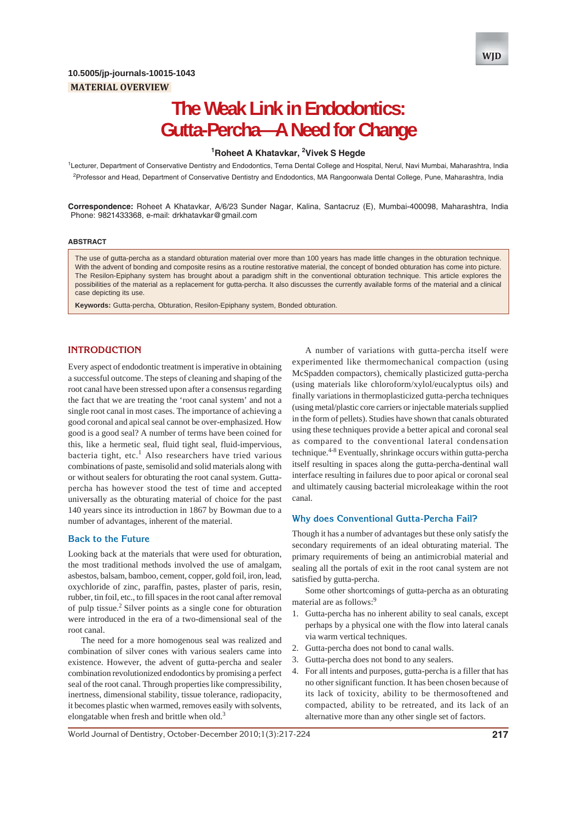

# **The Weak Link in Endodontics: Gutta-Percha—A Need for Change**

## **1 Roheet A Khatavkar, 2 Vivek S Hegde**

<sup>1</sup>Lecturer, Department of Conservative Dentistry and Endodontics, Terna Dental College and Hospital, Nerul, Navi Mumbai, Maharashtra, India <sup>2</sup>Professor and Head, Department of Conservative Dentistry and Endodontics, MA Rangoonwala Dental College, Pune, Maharashtra, India

**Correspondence:** Roheet A Khatavkar, A/6/23 Sunder Nagar, Kalina, Santacruz (E), Mumbai-400098, Maharashtra, India Phone: 9821433368, e-mail: drkhatavkar@gmail.com

#### **ABSTRACT**

The use of gutta-percha as a standard obturation material over more than 100 years has made little changes in the obturation technique. With the advent of bonding and composite resins as a routine restorative material, the concept of bonded obturation has come into picture. The Resilon-Epiphany system has brought about a paradigm shift in the conventional obturation technique. This article explores the possibilities of the material as a replacement for gutta-percha. It also discusses the currently available forms of the material and a clinical case depicting its use.

**Keywords:** Gutta-percha, Obturation, Resilon-Epiphany system, Bonded obturation.

#### **INTRODUCTION**

Every aspect of endodontic treatment is imperative in obtaining a successful outcome. The steps of cleaning and shaping of the root canal have been stressed upon after a consensus regarding the fact that we are treating the 'root canal system' and not a single root canal in most cases. The importance of achieving a good coronal and apical seal cannot be over-emphasized. How good is a good seal? A number of terms have been coined for this, like a hermetic seal, fluid tight seal, fluid-impervious, bacteria tight, etc.<sup>1</sup> Also researchers have tried various combinations of paste, semisolid and solid materials along with or without sealers for obturating the root canal system. Guttapercha has however stood the test of time and accepted universally as the obturating material of choice for the past 140 years since its introduction in 1867 by Bowman due to a number of advantages, inherent of the material.

#### **Back to the Future**

Looking back at the materials that were used for obturation, the most traditional methods involved the use of amalgam, asbestos, balsam, bamboo, cement, copper, gold foil, iron, lead, oxychloride of zinc, paraffin, pastes, plaster of paris, resin, rubber, tin foil, etc., to fill spaces in the root canal after removal of pulp tissue.2 Silver points as a single cone for obturation were introduced in the era of a two-dimensional seal of the root canal.

The need for a more homogenous seal was realized and combination of silver cones with various sealers came into existence. However, the advent of gutta-percha and sealer combination revolutionized endodontics by promising a perfect seal of the root canal. Through properties like compressibility, inertness, dimensional stability, tissue tolerance, radiopacity, it becomes plastic when warmed, removes easily with solvents, elongatable when fresh and brittle when old.<sup>3</sup>

A number of variations with gutta-percha itself were experimented like thermomechanical compaction (using McSpadden compactors), chemically plasticized gutta-percha (using materials like chloroform/xylol/eucalyptus oils) and finally variations in thermoplasticized gutta-percha techniques (using metal/plastic core carriers or injectable materials supplied in the form of pellets). Studies have shown that canals obturated using these techniques provide a better apical and coronal seal as compared to the conventional lateral condensation technique.<sup>4-8</sup> Eventually, shrinkage occurs within gutta-percha itself resulting in spaces along the gutta-percha-dentinal wall interface resulting in failures due to poor apical or coronal seal and ultimately causing bacterial microleakage within the root canal.

## **Why does Conventional Gutta-Percha Fail?**

Though it has a number of advantages but these only satisfy the secondary requirements of an ideal obturating material. The primary requirements of being an antimicrobial material and sealing all the portals of exit in the root canal system are not satisfied by gutta-percha.

Some other shortcomings of gutta-percha as an obturating material are as follows:<sup>9</sup>

- 1. Gutta-percha has no inherent ability to seal canals, except perhaps by a physical one with the flow into lateral canals via warm vertical techniques.
- 2. Gutta-percha does not bond to canal walls.
- 3. Gutta-percha does not bond to any sealers.
- 4. For all intents and purposes, gutta-percha is a filler that has no other significant function. It has been chosen because of its lack of toxicity, ability to be thermosoftened and compacted, ability to be retreated, and its lack of an alternative more than any other single set of factors.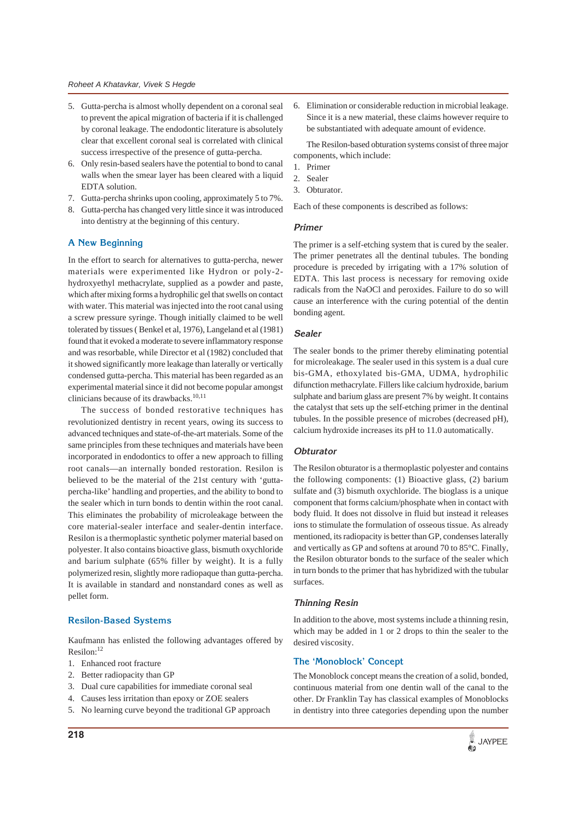- 5. Gutta-percha is almost wholly dependent on a coronal seal to prevent the apical migration of bacteria if it is challenged by coronal leakage. The endodontic literature is absolutely clear that excellent coronal seal is correlated with clinical success irrespective of the presence of gutta-percha.
- 6. Only resin-based sealers have the potential to bond to canal walls when the smear layer has been cleared with a liquid EDTA solution.
- 7. Gutta-percha shrinks upon cooling, approximately 5 to 7%.
- 8. Gutta-percha has changed very little since it was introduced into dentistry at the beginning of this century.

## **A New Beginning**

In the effort to search for alternatives to gutta-percha, newer materials were experimented like Hydron or poly-2 hydroxyethyl methacrylate, supplied as a powder and paste, which after mixing forms a hydrophilic gel that swells on contact with water. This material was injected into the root canal using a screw pressure syringe. Though initially claimed to be well tolerated by tissues ( Benkel et al, 1976), Langeland et al (1981) found that it evoked a moderate to severe inflammatory response and was resorbable, while Director et al (1982) concluded that it showed significantly more leakage than laterally or vertically condensed gutta-percha. This material has been regarded as an experimental material since it did not become popular amongst clinicians because of its drawbacks.<sup>10,11</sup>

The success of bonded restorative techniques has revolutionized dentistry in recent years, owing its success to advanced techniques and state-of-the-art materials. Some of the same principles from these techniques and materials have been incorporated in endodontics to offer a new approach to filling root canals—an internally bonded restoration. Resilon is believed to be the material of the 21st century with 'guttapercha-like' handling and properties, and the ability to bond to the sealer which in turn bonds to dentin within the root canal. This eliminates the probability of microleakage between the core material-sealer interface and sealer-dentin interface. Resilon is a thermoplastic synthetic polymer material based on polyester. It also contains bioactive glass, bismuth oxychloride and barium sulphate (65% filler by weight). It is a fully polymerized resin, slightly more radiopaque than gutta-percha. It is available in standard and nonstandard cones as well as pellet form.

## **Resilon-Based Systems**

Kaufmann has enlisted the following advantages offered by Resilon:<sup>12</sup>

- 1. Enhanced root fracture
- 2. Better radiopacity than GP
- 3. Dual cure capabilities for immediate coronal seal
- 4. Causes less irritation than epoxy or ZOE sealers
- 5. No learning curve beyond the traditional GP approach

6. Elimination or considerable reduction in microbial leakage. Since it is a new material, these claims however require to be substantiated with adequate amount of evidence.

The Resilon-based obturation systems consist of three major components, which include:

- 1. Primer
- 2. Sealer
- 3. Obturator.

Each of these components is described as follows:

## **Primer**

The primer is a self-etching system that is cured by the sealer. The primer penetrates all the dentinal tubules. The bonding procedure is preceded by irrigating with a 17% solution of EDTA. This last process is necessary for removing oxide radicals from the NaOCl and peroxides. Failure to do so will cause an interference with the curing potential of the dentin bonding agent.

#### **Sealer**

The sealer bonds to the primer thereby eliminating potential for microleakage. The sealer used in this system is a dual cure bis-GMA, ethoxylated bis-GMA, UDMA, hydrophilic difunction methacrylate. Fillers like calcium hydroxide, barium sulphate and barium glass are present 7% by weight. It contains the catalyst that sets up the self-etching primer in the dentinal tubules. In the possible presence of microbes (decreased pH), calcium hydroxide increases its pH to 11.0 automatically.

## **Obturator**

The Resilon obturator is a thermoplastic polyester and contains the following components: (1) Bioactive glass, (2) barium sulfate and (3) bismuth oxychloride. The bioglass is a unique component that forms calcium/phosphate when in contact with body fluid. It does not dissolve in fluid but instead it releases ions to stimulate the formulation of osseous tissue. As already mentioned, its radiopacity is better than GP, condenses laterally and vertically as GP and softens at around 70 to 85°C. Finally, the Resilon obturator bonds to the surface of the sealer which in turn bonds to the primer that has hybridized with the tubular surfaces.

#### **Thinning Resin**

In addition to the above, most systems include a thinning resin, which may be added in 1 or 2 drops to thin the sealer to the desired viscosity.

## **The 'Monoblock' Concept**

The Monoblock concept means the creation of a solid, bonded, continuous material from one dentin wall of the canal to the other. Dr Franklin Tay has classical examples of Monoblocks in dentistry into three categories depending upon the number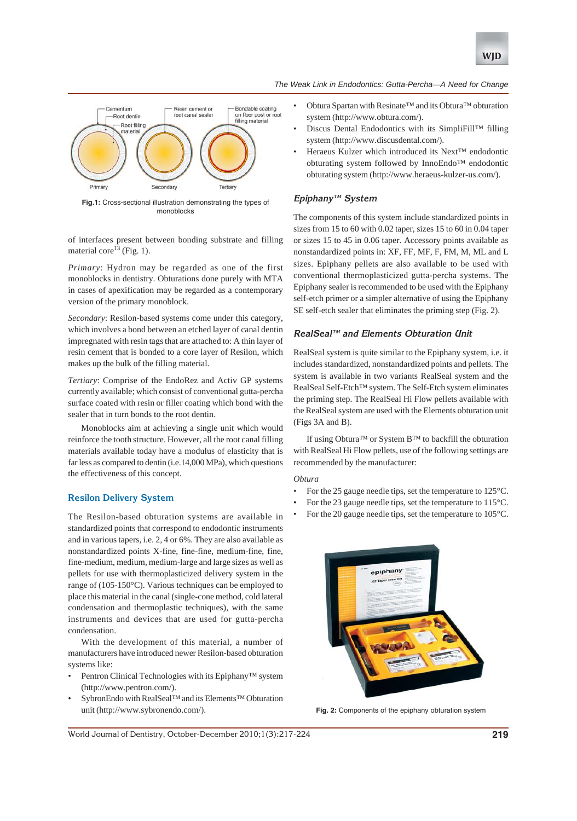





**Fig.1:** Cross-sectional illustration demonstrating the types of monoblocks

of interfaces present between bonding substrate and filling material core<sup>13</sup> (Fig. 1).

*Primary*: Hydron may be regarded as one of the first monoblocks in dentistry. Obturations done purely with MTA in cases of apexification may be regarded as a contemporary version of the primary monoblock.

*Secondary*: Resilon-based systems come under this category, which involves a bond between an etched layer of canal dentin impregnated with resin tags that are attached to: A thin layer of resin cement that is bonded to a core layer of Resilon, which makes up the bulk of the filling material.

*Tertiary*: Comprise of the EndoRez and Activ GP systems currently available; which consist of conventional gutta-percha surface coated with resin or filler coating which bond with the sealer that in turn bonds to the root dentin.

Monoblocks aim at achieving a single unit which would reinforce the tooth structure. However, all the root canal filling materials available today have a modulus of elasticity that is far less as compared to dentin (i.e.14,000 MPa), which questions the effectiveness of this concept.

## **Resilon Delivery System**

The Resilon-based obturation systems are available in standardized points that correspond to endodontic instruments and in various tapers, i.e. 2, 4 or 6%. They are also available as nonstandardized points X-fine, fine-fine, medium-fine, fine, fine-medium, medium, medium-large and large sizes as well as pellets for use with thermoplasticized delivery system in the range of (105-150°C). Various techniques can be employed to place this material in the canal (single-cone method, cold lateral condensation and thermoplastic techniques), with the same instruments and devices that are used for gutta-percha condensation.

With the development of this material, a number of manufacturers have introduced newer Resilon-based obturation systems like:

- Pentron Clinical Technologies with its Epiphany™ system (http://www.pentron.com/).
- SybronEndo with RealSeal™ and its Elements™ Obturation unit (http://www.sybronendo.com/).
- Obtura Spartan with Resinate™ and its Obtura™ obturation system (http://www.obtura.com/).
- Discus Dental Endodontics with its SimpliFill™ filling system (http://www.discusdental.com/).
- Heraeus Kulzer which introduced its Next™ endodontic obturating system followed by InnoEndo™ endodontic obturating system (http://www.heraeus-kulzer-us.com/).

## **Epiphany™ System**

The components of this system include standardized points in sizes from 15 to 60 with 0.02 taper, sizes 15 to 60 in 0.04 taper or sizes 15 to 45 in 0.06 taper. Accessory points available as nonstandardized points in: XF, FF, MF, F, FM, M, ML and L sizes. Epiphany pellets are also available to be used with conventional thermoplasticized gutta-percha systems. The Epiphany sealer is recommended to be used with the Epiphany self-etch primer or a simpler alternative of using the Epiphany SE self-etch sealer that eliminates the priming step (Fig. 2).

## **RealSeal™ and Elements Obturation Unit**

RealSeal system is quite similar to the Epiphany system, i.e. it includes standardized, nonstandardized points and pellets. The system is available in two variants RealSeal system and the RealSeal Self-Etch™ system. The Self-Etch system eliminates the priming step. The RealSeal Hi Flow pellets available with the RealSeal system are used with the Elements obturation unit (Figs 3A and B).

If using Obtura™ or System B™ to backfill the obturation with RealSeal Hi Flow pellets, use of the following settings are recommended by the manufacturer:

## *Obtura*

- For the 25 gauge needle tips, set the temperature to 125°C.
- For the 23 gauge needle tips, set the temperature to 115°C.
- For the 20 gauge needle tips, set the temperature to 105°C.



**Fig. 2:** Components of the epiphany obturation system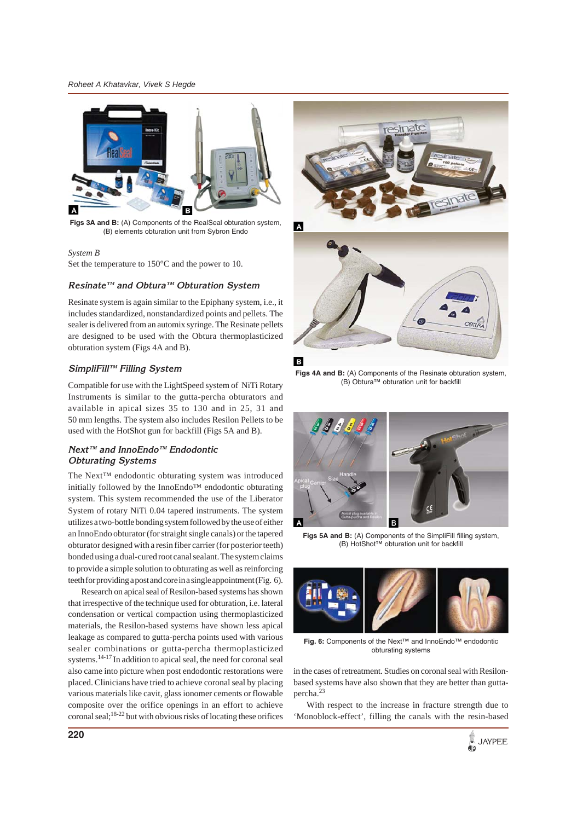*Roheet A Khatavkar, Vivek S Hegde*



**Figs 3A and B:** (A) Components of the RealSeal obturation system, (B) elements obturation unit from Sybron Endo

#### *System B*

Set the temperature to 150°C and the power to 10.

## **Resinate™ and Obtura™ Obturation System**

Resinate system is again similar to the Epiphany system, i.e., it includes standardized, nonstandardized points and pellets. The sealer is delivered from an automix syringe. The Resinate pellets are designed to be used with the Obtura thermoplasticized obturation system (Figs 4A and B).

## **SimpliFill™ Filling System**

Compatible for use with the LightSpeed system of NiTi Rotary Instruments is similar to the gutta-percha obturators and available in apical sizes 35 to 130 and in 25, 31 and 50 mm lengths. The system also includes Resilon Pellets to be used with the HotShot gun for backfill (Figs 5A and B).

## **Next™ and InnoEndo™ Endodontic Obturating Systems**

The Next™ endodontic obturating system was introduced initially followed by the InnoEndo™ endodontic obturating system. This system recommended the use of the Liberator System of rotary NiTi 0.04 tapered instruments. The system utilizes a two-bottle bonding system followed by the use of either an InnoEndo obturator (for straight single canals) or the tapered obturator designed with a resin fiber carrier (for posterior teeth) bonded using a dual-cured root canal sealant. The system claims to provide a simple solution to obturating as well as reinforcing teeth for providing a post and core in a single appointment (Fig. 6).

Research on apical seal of Resilon-based systems has shown that irrespective of the technique used for obturation, i.e. lateral condensation or vertical compaction using thermoplasticized materials, the Resilon-based systems have shown less apical leakage as compared to gutta-percha points used with various sealer combinations or gutta-percha thermoplasticized systems.<sup>14-17</sup> In addition to apical seal, the need for coronal seal also came into picture when post endodontic restorations were placed. Clinicians have tried to achieve coronal seal by placing various materials like cavit, glass ionomer cements or flowable composite over the orifice openings in an effort to achieve coronal seal;  $18-22$  but with obvious risks of locating these orifices



 $\overline{A}$ 



**Figs 4A and B:** (A) Components of the Resinate obturation system, (B) Obtura™ obturation unit for backfill



**Figs 5A and B:** (A) Components of the SimpliFill filling system, (B) HotShot™ obturation unit for backfill



**Fig. 6:** Components of the Next™ and InnoEndo™ endodontic obturating systems

in the cases of retreatment. Studies on coronal seal with Resilonbased systems have also shown that they are better than guttapercha.23

With respect to the increase in fracture strength due to 'Monoblock-effect', filling the canals with the resin-based

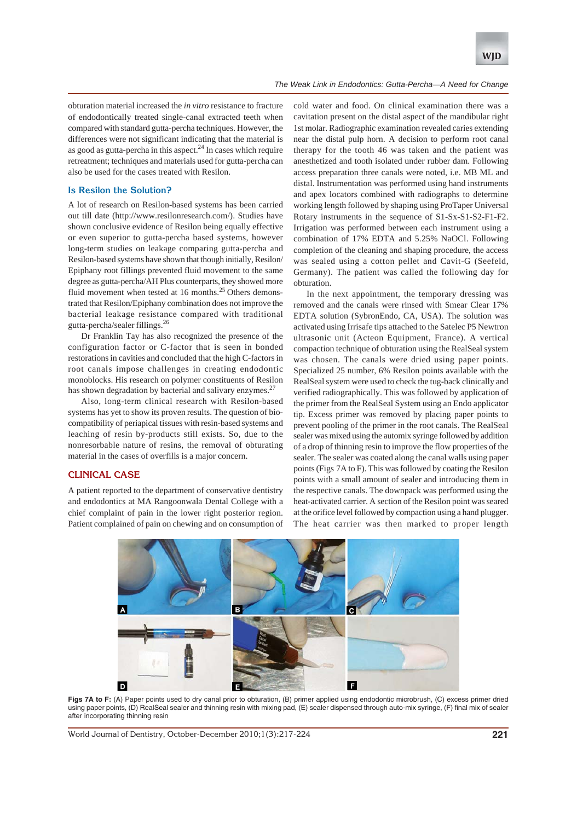

obturation material increased the *in vitro* resistance to fracture of endodontically treated single-canal extracted teeth when compared with standard gutta-percha techniques. However, the differences were not significant indicating that the material is as good as gutta-percha in this aspect. $24$  In cases which require retreatment; techniques and materials used for gutta-percha can also be used for the cases treated with Resilon.

#### **Is Resilon the Solution?**

A lot of research on Resilon-based systems has been carried out till date (http://www.resilonresearch.com/). Studies have shown conclusive evidence of Resilon being equally effective or even superior to gutta-percha based systems, however long-term studies on leakage comparing gutta-percha and Resilon-based systems have shown that though initially, Resilon/ Epiphany root fillings prevented fluid movement to the same degree as gutta-percha/AH Plus counterparts, they showed more fluid movement when tested at 16 months.<sup>25</sup> Others demonstrated that Resilon/Epiphany combination does not improve the bacterial leakage resistance compared with traditional gutta-percha/sealer fillings.26

Dr Franklin Tay has also recognized the presence of the configuration factor or C-factor that is seen in bonded restorations in cavities and concluded that the high C-factors in root canals impose challenges in creating endodontic monoblocks. His research on polymer constituents of Resilon has shown degradation by bacterial and salivary enzymes. $27$ 

Also, long-term clinical research with Resilon-based systems has yet to show its proven results. The question of biocompatibility of periapical tissues with resin-based systems and leaching of resin by-products still exists. So, due to the nonresorbable nature of resins, the removal of obturating material in the cases of overfills is a major concern.

#### **CLINICAL CASE**

A patient reported to the department of conservative dentistry and endodontics at MA Rangoonwala Dental College with a chief complaint of pain in the lower right posterior region. Patient complained of pain on chewing and on consumption of cold water and food. On clinical examination there was a cavitation present on the distal aspect of the mandibular right 1st molar. Radiographic examination revealed caries extending near the distal pulp horn. A decision to perform root canal therapy for the tooth 46 was taken and the patient was anesthetized and tooth isolated under rubber dam. Following access preparation three canals were noted, i.e. MB ML and distal. Instrumentation was performed using hand instruments and apex locators combined with radiographs to determine working length followed by shaping using ProTaper Universal Rotary instruments in the sequence of S1-Sx-S1-S2-F1-F2. Irrigation was performed between each instrument using a combination of 17% EDTA and 5.25% NaOCl. Following completion of the cleaning and shaping procedure, the access was sealed using a cotton pellet and Cavit-G (Seefeld, Germany). The patient was called the following day for obturation.

In the next appointment, the temporary dressing was removed and the canals were rinsed with Smear Clear 17% EDTA solution (SybronEndo, CA, USA). The solution was activated using Irrisafe tips attached to the Satelec P5 Newtron ultrasonic unit (Acteon Equipment, France). A vertical compaction technique of obturation using the RealSeal system was chosen. The canals were dried using paper points. Specialized 25 number, 6% Resilon points available with the RealSeal system were used to check the tug-back clinically and verified radiographically. This was followed by application of the primer from the RealSeal System using an Endo applicator tip. Excess primer was removed by placing paper points to prevent pooling of the primer in the root canals. The RealSeal sealer was mixed using the automix syringe followed by addition of a drop of thinning resin to improve the flow properties of the sealer. The sealer was coated along the canal walls using paper points (Figs 7A to F). This was followed by coating the Resilon points with a small amount of sealer and introducing them in the respective canals. The downpack was performed using the heat-activated carrier. A section of the Resilon point was seared at the orifice level followed by compaction using a hand plugger. The heat carrier was then marked to proper length



**Figs 7A to F:** (A) Paper points used to dry canal prior to obturation, (B) primer applied using endodontic microbrush, (C) excess primer dried using paper points, (D) RealSeal sealer and thinning resin with mixing pad, (E) sealer dispensed through auto-mix syringe, (F) final mix of sealer after incorporating thinning resin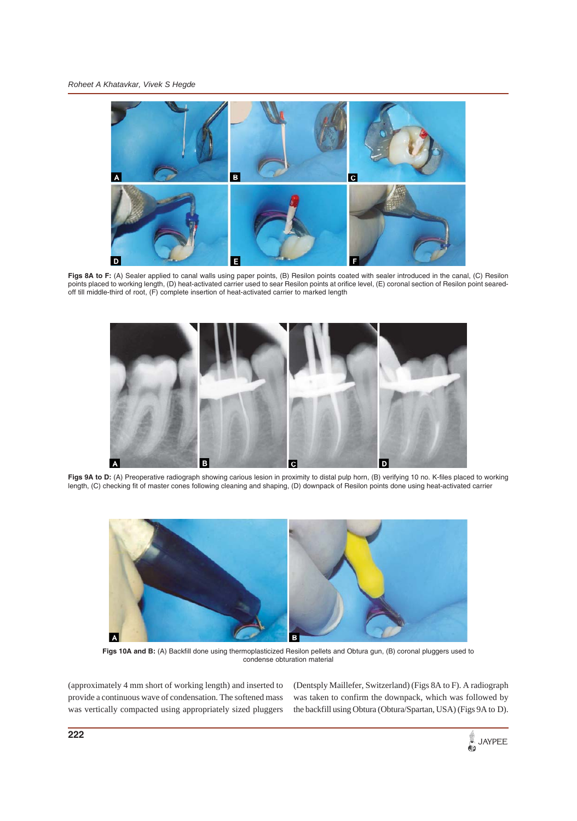

**Figs 8A to F:** (A) Sealer applied to canal walls using paper points, (B) Resilon points coated with sealer introduced in the canal, (C) Resilon points placed to working length, (D) heat-activated carrier used to sear Resilon points at orifice level, (E) coronal section of Resilon point searedoff till middle-third of root, (F) complete insertion of heat-activated carrier to marked length



Figs 9A to D: (A) Preoperative radiograph showing carious lesion in proximity to distal pulp horn, (B) verifying 10 no. K-files placed to working length, (C) checking fit of master cones following cleaning and shaping, (D) downpack of Resilon points done using heat-activated carrier



**Figs 10A and B:** (A) Backfill done using thermoplasticized Resilon pellets and Obtura gun, (B) coronal pluggers used to condense obturation material

(approximately 4 mm short of working length) and inserted to provide a continuous wave of condensation. The softened mass was vertically compacted using appropriately sized pluggers (Dentsply Maillefer, Switzerland) (Figs 8A to F). A radiograph was taken to confirm the downpack, which was followed by the backfill using Obtura (Obtura/Spartan, USA) (Figs 9A to D).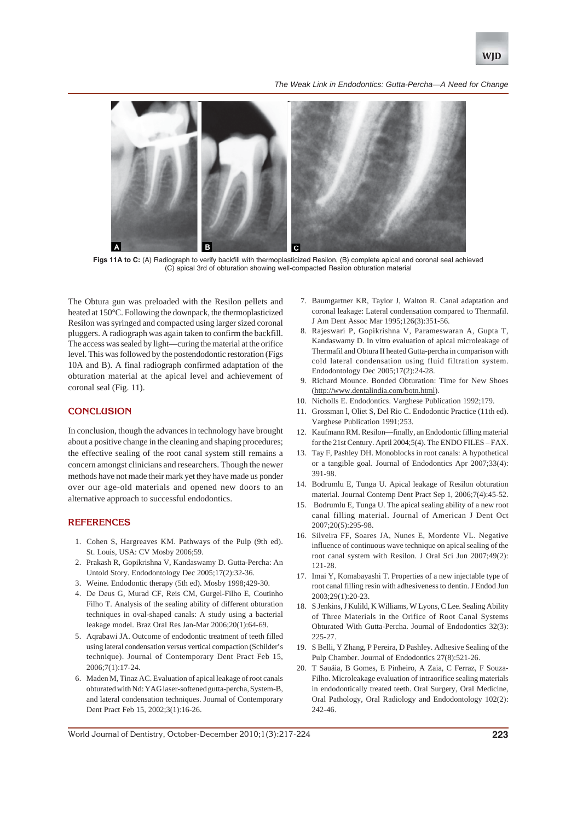

*The Weak Link in Endodontics: Gutta-Percha—A Need for Change*



**Figs 11A to C:** (A) Radiograph to verify backfill with thermoplasticized Resilon, (B) complete apical and coronal seal achieved (C) apical 3rd of obturation showing well-compacted Resilon obturation material

The Obtura gun was preloaded with the Resilon pellets and heated at 150°C. Following the downpack, the thermoplasticized Resilon was syringed and compacted using larger sized coronal pluggers. A radiograph was again taken to confirm the backfill. The access was sealed by light—curing the material at the orifice level. This was followed by the postendodontic restoration (Figs 10A and B). A final radiograph confirmed adaptation of the obturation material at the apical level and achievement of coronal seal (Fig. 11).

## **CONCLUSION**

In conclusion, though the advances in technology have brought about a positive change in the cleaning and shaping procedures; the effective sealing of the root canal system still remains a concern amongst clinicians and researchers. Though the newer methods have not made their mark yet they have made us ponder over our age-old materials and opened new doors to an alternative approach to successful endodontics.

#### **REFERENCES**

- 1. Cohen S, Hargreaves KM. Pathways of the Pulp (9th ed). St. Louis, USA: CV Mosby 2006;59.
- 2. Prakash R, Gopikrishna V, Kandaswamy D. Gutta-Percha: An Untold Story. Endodontology Dec 2005;17(2):32-36.
- 3. Weine. Endodontic therapy (5th ed). Mosby 1998;429-30.
- 4. De Deus G, Murad CF, Reis CM, Gurgel-Filho E, Coutinho Filho T. Analysis of the sealing ability of different obturation techniques in oval-shaped canals: A study using a bacterial leakage model. Braz Oral Res Jan-Mar 2006;20(1):64-69.
- 5. Aqrabawi JA. Outcome of endodontic treatment of teeth filled using lateral condensation versus vertical compaction (Schilder's technique). Journal of Contemporary Dent Pract Feb 15, 2006;7(1):17-24.
- 6. Maden M, Tinaz AC. Evaluation of apical leakage of root canals obturated with Nd: YAG laser-softened gutta-percha, System-B, and lateral condensation techniques. Journal of Contemporary Dent Pract Feb 15, 2002;3(1):16-26.
- 7. Baumgartner KR, Taylor J, Walton R. Canal adaptation and coronal leakage: Lateral condensation compared to Thermafil. J Am Dent Assoc Mar 1995;126(3):351-56.
- 8. Rajeswari P, Gopikrishna V, Parameswaran A, Gupta T, Kandaswamy D. In vitro evaluation of apical microleakage of Thermafil and Obtura II heated Gutta-percha in comparison with cold lateral condensation using fluid filtration system. Endodontology Dec 2005;17(2):24-28.
- Richard Mounce. Bonded Obturation: Time for New Shoes (http://www.dentalindia.com/botn.html).
- 10. Nicholls E. Endodontics. Varghese Publication 1992;179.
- 11. Grossman l, Oliet S, Del Rio C. Endodontic Practice (11th ed). Varghese Publication 1991;253.
- 12. Kaufmann RM. Resilon—finally, an Endodontic filling material for the 21st Century. April 2004;5(4). The ENDO FILES – FAX.
- 13. Tay F, Pashley DH. Monoblocks in root canals: A hypothetical or a tangible goal. Journal of Endodontics Apr 2007;33(4): 391-98.
- 14. Bodrumlu E, Tunga U. Apical leakage of Resilon obturation material. Journal Contemp Dent Pract Sep 1, 2006;7(4):45-52.
- 15. Bodrumlu E, Tunga U. The apical sealing ability of a new root canal filling material. Journal of American J Dent Oct 2007;20(5):295-98.
- 16. Silveira FF, Soares JA, Nunes E, Mordente VL. Negative influence of continuous wave technique on apical sealing of the root canal system with Resilon. J Oral Sci Jun 2007;49(2): 121-28.
- 17. Imai Y, Komabayashi T. Properties of a new injectable type of root canal filling resin with adhesiveness to dentin. J Endod Jun 2003;29(1):20-23.
- 18. S Jenkins, J Kulild, K Williams, W Lyons, C Lee. Sealing Ability of Three Materials in the Orifice of Root Canal Systems Obturated With Gutta-Percha. Journal of Endodontics 32(3): 225-27.
- 19. S Belli, Y Zhang, P Pereira, D Pashley. Adhesive Sealing of the Pulp Chamber. Journal of Endodontics 27(8):521-26.
- 20. T Sauáia, B Gomes, E Pinheiro, A Zaia, C Ferraz, F Souza-Filho. Microleakage evaluation of intraorifice sealing materials in endodontically treated teeth. Oral Surgery, Oral Medicine, Oral Pathology, Oral Radiology and Endodontology 102(2): 242-46.